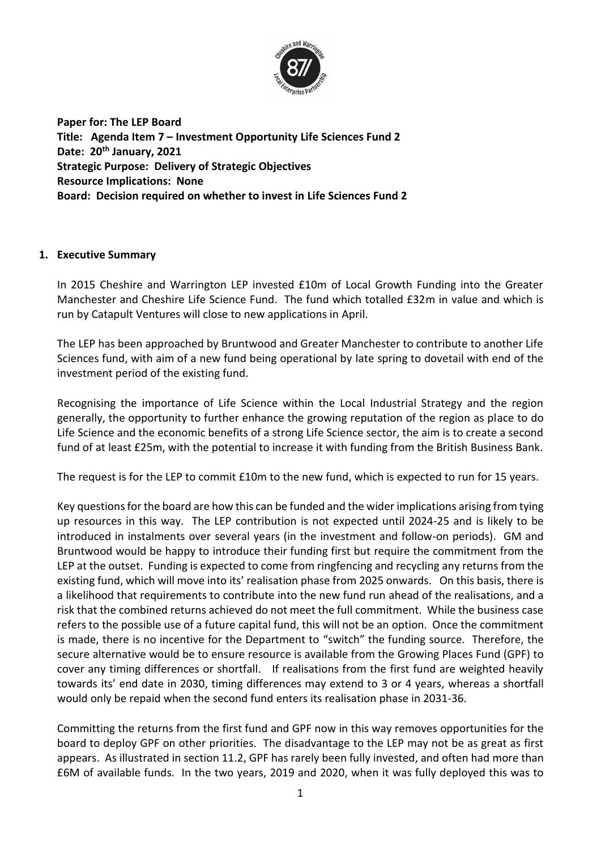

**Paper for: The LEP Board Title: Agenda Item 7 – Investment Opportunity Life Sciences Fund 2 Date: 20th January, 2021 Strategic Purpose: Delivery of Strategic Objectives Resource Implications: None Board: Decision required on whether to invest in Life Sciences Fund 2**

## **1. Executive Summary**

In 2015 Cheshire and Warrington LEP invested £10m of Local Growth Funding into the Greater Manchester and Cheshire Life Science Fund. The fund which totalled £32m in value and which is run by Catapult Ventures will close to new applications in April.

The LEP has been approached by Bruntwood and Greater Manchester to contribute to another Life Sciences fund, with aim of a new fund being operational by late spring to dovetail with end of the investment period of the existing fund.

Recognising the importance of Life Science within the Local Industrial Strategy and the region generally, the opportunity to further enhance the growing reputation of the region as place to do Life Science and the economic benefits of a strong Life Science sector, the aim is to create a second fund of at least £25m, with the potential to increase it with funding from the British Business Bank.

The request is for the LEP to commit £10m to the new fund, which is expected to run for 15 years.

Key questions for the board are how this can be funded and the wider implications arising from tying up resources in this way. The LEP contribution is not expected until 2024-25 and is likely to be introduced in instalments over several years (in the investment and follow-on periods). GM and Bruntwood would be happy to introduce their funding first but require the commitment from the LEP at the outset. Funding is expected to come from ringfencing and recycling any returns from the existing fund, which will move into its' realisation phase from 2025 onwards. On this basis, there is a likelihood that requirements to contribute into the new fund run ahead of the realisations, and a risk that the combined returns achieved do not meet the full commitment. While the business case refers to the possible use of a future capital fund, this will not be an option. Once the commitment is made, there is no incentive for the Department to "switch" the funding source. Therefore, the secure alternative would be to ensure resource is available from the Growing Places Fund (GPF) to cover any timing differences or shortfall. If realisations from the first fund are weighted heavily towards its' end date in 2030, timing differences may extend to 3 or 4 years, whereas a shortfall would only be repaid when the second fund enters its realisation phase in 2031-36.

Committing the returns from the first fund and GPF now in this way removes opportunities for the board to deploy GPF on other priorities. The disadvantage to the LEP may not be as great as first appears. As illustrated in section 11.2, GPF has rarely been fully invested, and often had more than £6M of available funds. In the two years, 2019 and 2020, when it was fully deployed this was to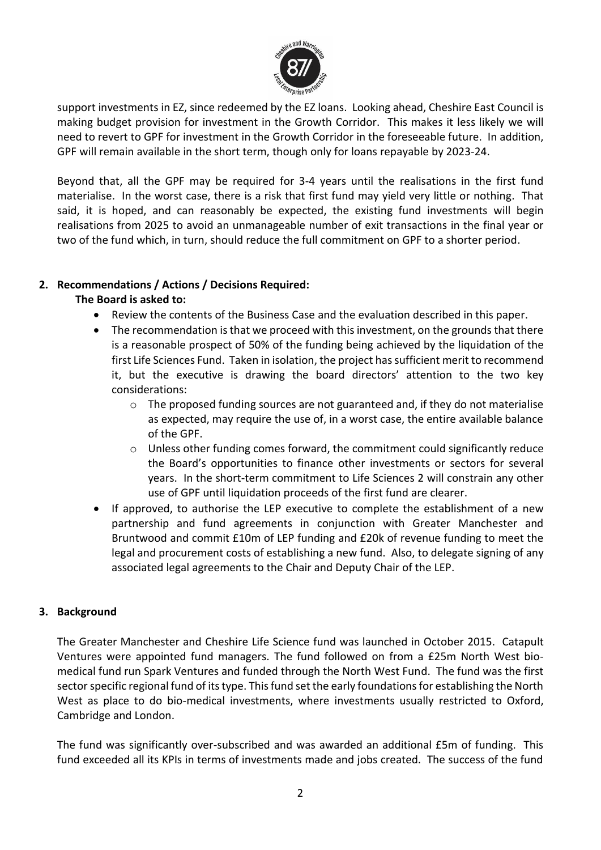

support investments in EZ, since redeemed by the EZ loans. Looking ahead, Cheshire East Council is making budget provision for investment in the Growth Corridor. This makes it less likely we will need to revert to GPF for investment in the Growth Corridor in the foreseeable future. In addition, GPF will remain available in the short term, though only for loans repayable by 2023-24.

Beyond that, all the GPF may be required for 3-4 years until the realisations in the first fund materialise. In the worst case, there is a risk that first fund may yield very little or nothing. That said, it is hoped, and can reasonably be expected, the existing fund investments will begin realisations from 2025 to avoid an unmanageable number of exit transactions in the final year or two of the fund which, in turn, should reduce the full commitment on GPF to a shorter period.

# **2. Recommendations / Actions / Decisions Required:**

# **The Board is asked to:**

- Review the contents of the Business Case and the evaluation described in this paper.
- The recommendation is that we proceed with this investment, on the grounds that there is a reasonable prospect of 50% of the funding being achieved by the liquidation of the first Life Sciences Fund. Taken in isolation, the project has sufficient merit to recommend it, but the executive is drawing the board directors' attention to the two key considerations:
	- $\circ$  The proposed funding sources are not guaranteed and, if they do not materialise as expected, may require the use of, in a worst case, the entire available balance of the GPF.
	- o Unless other funding comes forward, the commitment could significantly reduce the Board's opportunities to finance other investments or sectors for several years. In the short-term commitment to Life Sciences 2 will constrain any other use of GPF until liquidation proceeds of the first fund are clearer.
- If approved, to authorise the LEP executive to complete the establishment of a new partnership and fund agreements in conjunction with Greater Manchester and Bruntwood and commit £10m of LEP funding and £20k of revenue funding to meet the legal and procurement costs of establishing a new fund. Also, to delegate signing of any associated legal agreements to the Chair and Deputy Chair of the LEP.

## **3. Background**

The Greater Manchester and Cheshire Life Science fund was launched in October 2015. Catapult Ventures were appointed fund managers. The fund followed on from a £25m North West biomedical fund run Spark Ventures and funded through the North West Fund. The fund was the first sector specific regional fund of its type. This fund set the early foundations for establishing the North West as place to do bio-medical investments, where investments usually restricted to Oxford, Cambridge and London.

The fund was significantly over-subscribed and was awarded an additional £5m of funding. This fund exceeded all its KPIs in terms of investments made and jobs created. The success of the fund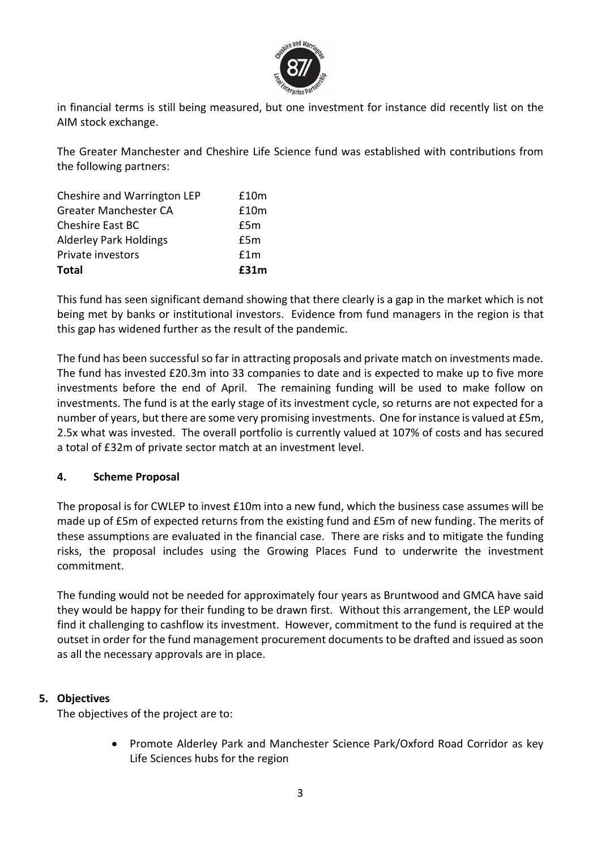

in financial terms is still being measured, but one investment for instance did recently list on the AIM stock exchange.

The Greater Manchester and Cheshire Life Science fund was established with contributions from the following partners:

| Cheshire and Warrington LEP   | £10m |
|-------------------------------|------|
| <b>Greater Manchester CA</b>  | £10m |
| <b>Cheshire East BC</b>       | £5m  |
| <b>Alderley Park Holdings</b> | £5m  |
| Private investors             | f1m  |
| <b>Total</b>                  | £31m |

This fund has seen significant demand showing that there clearly is a gap in the market which is not being met by banks or institutional investors. Evidence from fund managers in the region is that this gap has widened further as the result of the pandemic.

The fund has been successful so far in attracting proposals and private match on investments made. The fund has invested £20.3m into 33 companies to date and is expected to make up to five more investments before the end of April. The remaining funding will be used to make follow on investments. The fund is at the early stage of its investment cycle, so returns are not expected for a number of years, but there are some very promising investments. One for instance is valued at £5m, 2.5x what was invested. The overall portfolio is currently valued at 107% of costs and has secured a total of £32m of private sector match at an investment level.

## **4. Scheme Proposal**

The proposal is for CWLEP to invest £10m into a new fund, which the business case assumes will be made up of £5m of expected returns from the existing fund and £5m of new funding. The merits of these assumptions are evaluated in the financial case. There are risks and to mitigate the funding risks, the proposal includes using the Growing Places Fund to underwrite the investment commitment.

The funding would not be needed for approximately four years as Bruntwood and GMCA have said they would be happy for their funding to be drawn first. Without this arrangement, the LEP would find it challenging to cashflow its investment. However, commitment to the fund is required at the outset in order for the fund management procurement documents to be drafted and issued as soon as all the necessary approvals are in place.

## **5. Objectives**

The objectives of the project are to:

• Promote Alderley Park and Manchester Science Park/Oxford Road Corridor as key Life Sciences hubs for the region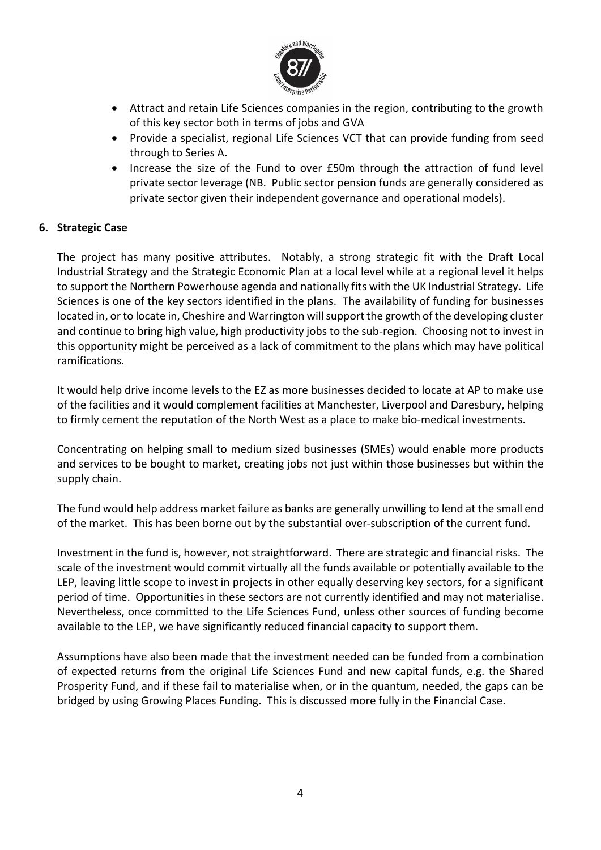

- Attract and retain Life Sciences companies in the region, contributing to the growth of this key sector both in terms of jobs and GVA
- Provide a specialist, regional Life Sciences VCT that can provide funding from seed through to Series A.
- Increase the size of the Fund to over £50m through the attraction of fund level private sector leverage (NB. Public sector pension funds are generally considered as private sector given their independent governance and operational models).

## **6. Strategic Case**

The project has many positive attributes. Notably, a strong strategic fit with the Draft Local Industrial Strategy and the Strategic Economic Plan at a local level while at a regional level it helps to support the Northern Powerhouse agenda and nationally fits with the UK Industrial Strategy. Life Sciences is one of the key sectors identified in the plans. The availability of funding for businesses located in, or to locate in, Cheshire and Warrington will support the growth of the developing cluster and continue to bring high value, high productivity jobs to the sub-region. Choosing not to invest in this opportunity might be perceived as a lack of commitment to the plans which may have political ramifications.

It would help drive income levels to the EZ as more businesses decided to locate at AP to make use of the facilities and it would complement facilities at Manchester, Liverpool and Daresbury, helping to firmly cement the reputation of the North West as a place to make bio-medical investments.

Concentrating on helping small to medium sized businesses (SMEs) would enable more products and services to be bought to market, creating jobs not just within those businesses but within the supply chain.

The fund would help address market failure as banks are generally unwilling to lend at the small end of the market. This has been borne out by the substantial over-subscription of the current fund.

Investment in the fund is, however, not straightforward. There are strategic and financial risks. The scale of the investment would commit virtually all the funds available or potentially available to the LEP, leaving little scope to invest in projects in other equally deserving key sectors, for a significant period of time. Opportunities in these sectors are not currently identified and may not materialise. Nevertheless, once committed to the Life Sciences Fund, unless other sources of funding become available to the LEP, we have significantly reduced financial capacity to support them.

Assumptions have also been made that the investment needed can be funded from a combination of expected returns from the original Life Sciences Fund and new capital funds, e.g. the Shared Prosperity Fund, and if these fail to materialise when, or in the quantum, needed, the gaps can be bridged by using Growing Places Funding. This is discussed more fully in the Financial Case.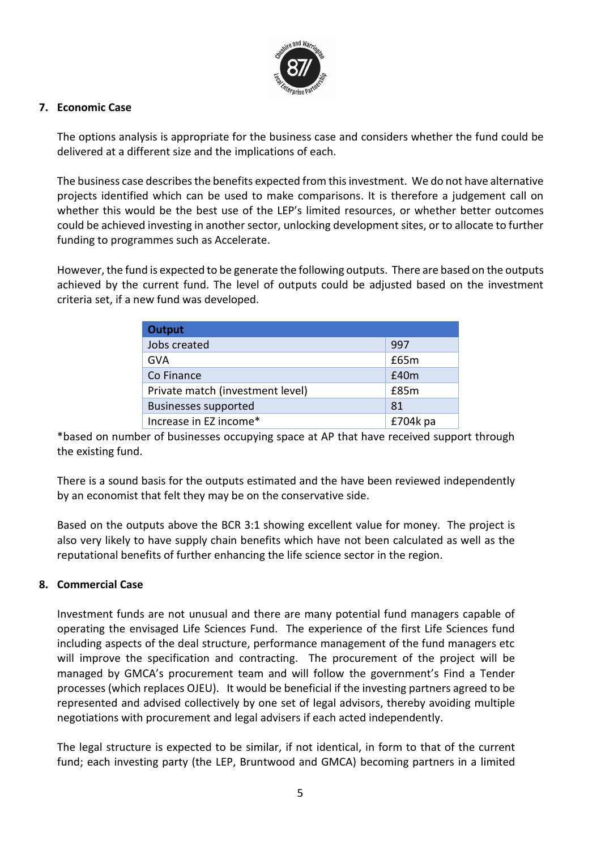

#### **7. Economic Case**

The options analysis is appropriate for the business case and considers whether the fund could be delivered at a different size and the implications of each.

The business case describes the benefits expected from this investment. We do not have alternative projects identified which can be used to make comparisons. It is therefore a judgement call on whether this would be the best use of the LEP's limited resources, or whether better outcomes could be achieved investing in another sector, unlocking development sites, or to allocate to further funding to programmes such as Accelerate.

However, the fund is expected to be generate the following outputs. There are based on the outputs achieved by the current fund. The level of outputs could be adjusted based on the investment criteria set, if a new fund was developed.

| <b>Output</b>                    |            |
|----------------------------------|------------|
| Jobs created                     | 997        |
| GVA                              | £65m       |
| Co Finance                       | E40m       |
| Private match (investment level) | £85m       |
| <b>Businesses supported</b>      | 81         |
| Increase in EZ income*           | $£704k$ pa |

\*based on number of businesses occupying space at AP that have received support through the existing fund.

There is a sound basis for the outputs estimated and the have been reviewed independently by an economist that felt they may be on the conservative side.

Based on the outputs above the BCR 3:1 showing excellent value for money. The project is also very likely to have supply chain benefits which have not been calculated as well as the reputational benefits of further enhancing the life science sector in the region.

#### **8. Commercial Case**

Investment funds are not unusual and there are many potential fund managers capable of operating the envisaged Life Sciences Fund. The experience of the first Life Sciences fund including aspects of the deal structure, performance management of the fund managers etc will improve the specification and contracting. The procurement of the project will be managed by GMCA's procurement team and will follow the government's Find a Tender processes (which replaces OJEU). It would be beneficial if the investing partners agreed to be represented and advised collectively by one set of legal advisors, thereby avoiding multiple negotiations with procurement and legal advisers if each acted independently.

The legal structure is expected to be similar, if not identical, in form to that of the current fund; each investing party (the LEP, Bruntwood and GMCA) becoming partners in a limited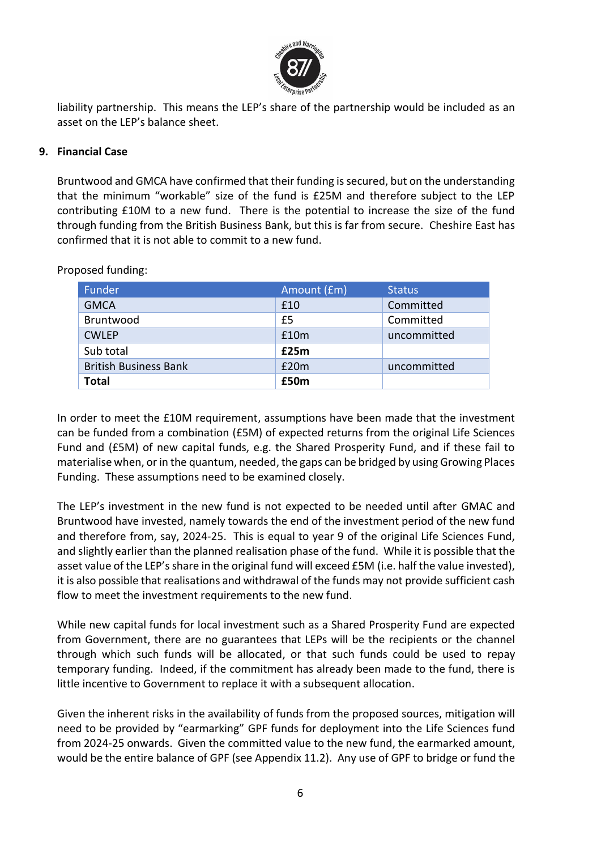

liability partnership. This means the LEP's share of the partnership would be included as an asset on the LEP's balance sheet.

#### **9. Financial Case**

Bruntwood and GMCA have confirmed that their funding is secured, but on the understanding that the minimum "workable" size of the fund is £25M and therefore subject to the LEP contributing £10M to a new fund. There is the potential to increase the size of the fund through funding from the British Business Bank, but this is far from secure. Cheshire East has confirmed that it is not able to commit to a new fund.

| Funder                       | Amount (£m) | <b>Status</b> |
|------------------------------|-------------|---------------|
| <b>GMCA</b>                  | £10         | Committed     |
| Bruntwood                    | £5          | Committed     |
| <b>CWLEP</b>                 | £10m        | uncommitted   |
| Sub total                    | £25m        |               |
| <b>British Business Bank</b> | £20m        | uncommitted   |
| <b>Total</b>                 | £50m        |               |

Proposed funding:

In order to meet the £10M requirement, assumptions have been made that the investment can be funded from a combination (£5M) of expected returns from the original Life Sciences Fund and (£5M) of new capital funds, e.g. the Shared Prosperity Fund, and if these fail to materialise when, or in the quantum, needed, the gaps can be bridged by using Growing Places Funding. These assumptions need to be examined closely.

The LEP's investment in the new fund is not expected to be needed until after GMAC and Bruntwood have invested, namely towards the end of the investment period of the new fund and therefore from, say, 2024-25. This is equal to year 9 of the original Life Sciences Fund, and slightly earlier than the planned realisation phase of the fund. While it is possible that the asset value of the LEP's share in the original fund will exceed £5M (i.e. half the value invested), it is also possible that realisations and withdrawal of the funds may not provide sufficient cash flow to meet the investment requirements to the new fund.

While new capital funds for local investment such as a Shared Prosperity Fund are expected from Government, there are no guarantees that LEPs will be the recipients or the channel through which such funds will be allocated, or that such funds could be used to repay temporary funding. Indeed, if the commitment has already been made to the fund, there is little incentive to Government to replace it with a subsequent allocation.

Given the inherent risks in the availability of funds from the proposed sources, mitigation will need to be provided by "earmarking" GPF funds for deployment into the Life Sciences fund from 2024-25 onwards. Given the committed value to the new fund, the earmarked amount, would be the entire balance of GPF (see Appendix 11.2). Any use of GPF to bridge or fund the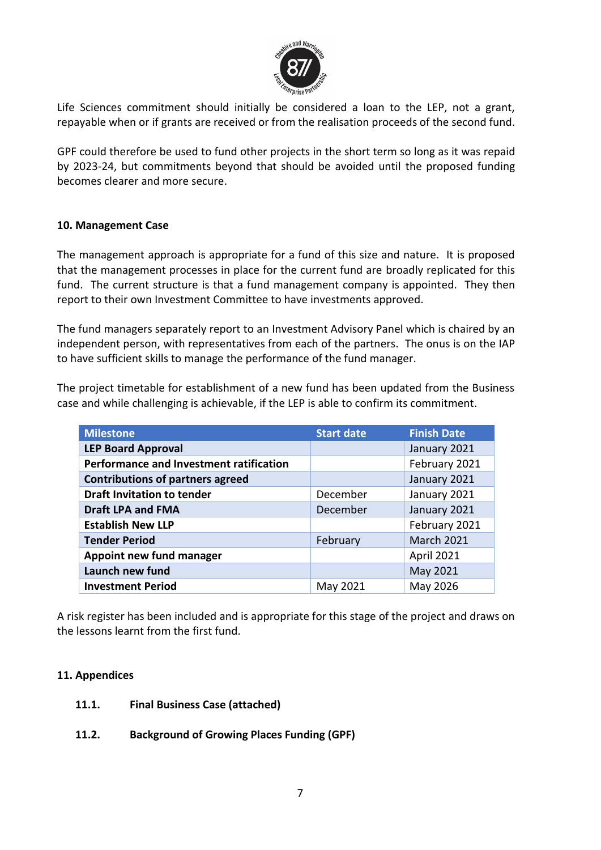

Life Sciences commitment should initially be considered a loan to the LEP, not a grant, repayable when or if grants are received or from the realisation proceeds of the second fund.

GPF could therefore be used to fund other projects in the short term so long as it was repaid by 2023-24, but commitments beyond that should be avoided until the proposed funding becomes clearer and more secure.

#### **10. Management Case**

The management approach is appropriate for a fund of this size and nature. It is proposed that the management processes in place for the current fund are broadly replicated for this fund. The current structure is that a fund management company is appointed. They then report to their own Investment Committee to have investments approved.

The fund managers separately report to an Investment Advisory Panel which is chaired by an independent person, with representatives from each of the partners. The onus is on the IAP to have sufficient skills to manage the performance of the fund manager.

The project timetable for establishment of a new fund has been updated from the Business case and while challenging is achievable, if the LEP is able to confirm its commitment.

| <b>Milestone</b>                        | <b>Start date</b> | <b>Finish Date</b> |
|-----------------------------------------|-------------------|--------------------|
| <b>LEP Board Approval</b>               |                   | January 2021       |
| Performance and Investment ratification |                   | February 2021      |
| <b>Contributions of partners agreed</b> |                   | January 2021       |
| <b>Draft Invitation to tender</b>       | December          | January 2021       |
| <b>Draft LPA and FMA</b>                | December          | January 2021       |
| <b>Establish New LLP</b>                |                   | February 2021      |
| <b>Tender Period</b>                    | February          | <b>March 2021</b>  |
| Appoint new fund manager                |                   | April 2021         |
| Launch new fund                         |                   | May 2021           |
| <b>Investment Period</b>                | May 2021          | May 2026           |

A risk register has been included and is appropriate for this stage of the project and draws on the lessons learnt from the first fund.

#### **11. Appendices**

- **11.1. Final Business Case (attached)**
- **11.2. Background of Growing Places Funding (GPF)**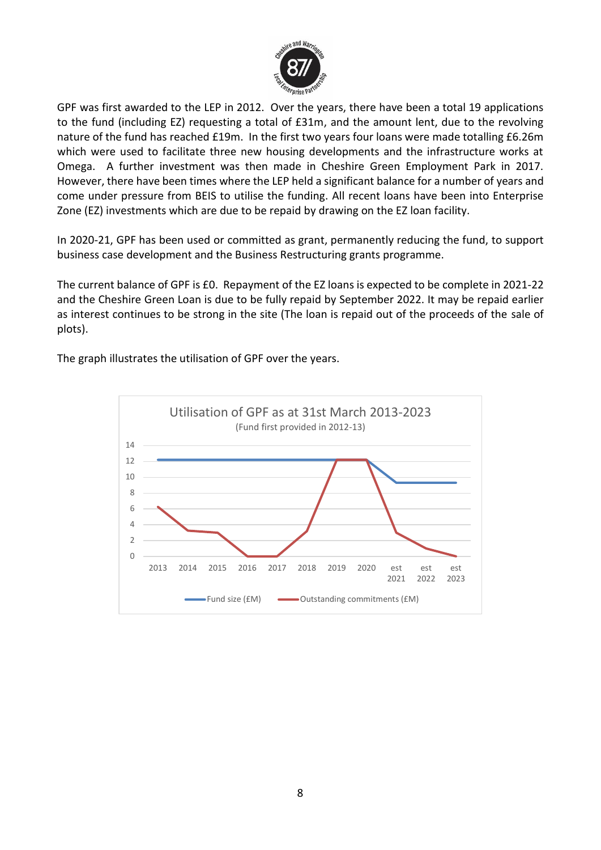

GPF was first awarded to the LEP in 2012. Over the years, there have been a total 19 applications to the fund (including EZ) requesting a total of £31m, and the amount lent, due to the revolving nature of the fund has reached £19m. In the first two years four loans were made totalling £6.26m which were used to facilitate three new housing developments and the infrastructure works at Omega. A further investment was then made in Cheshire Green Employment Park in 2017. However, there have been times where the LEP held a significant balance for a number of years and come under pressure from BEIS to utilise the funding. All recent loans have been into Enterprise Zone (EZ) investments which are due to be repaid by drawing on the EZ loan facility.

In 2020-21, GPF has been used or committed as grant, permanently reducing the fund, to support business case development and the Business Restructuring grants programme.

The current balance of GPF is £0. Repayment of the EZ loans is expected to be complete in 2021-22 and the Cheshire Green Loan is due to be fully repaid by September 2022. It may be repaid earlier as interest continues to be strong in the site (The loan is repaid out of the proceeds of the sale of plots).

The graph illustrates the utilisation of GPF over the years.